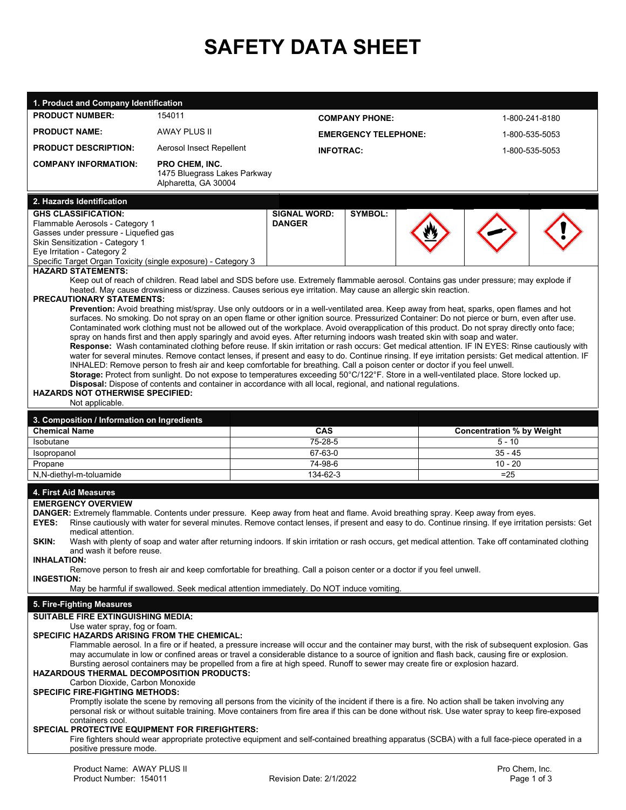# **SAFETY DATA SHEET**

| 1. Product and Company Identification                                                        |                                                                                                                                                                                  |                                                                                                                                                                                                                                                                                             |                                                                                                                                                      |  |  |  |  |
|----------------------------------------------------------------------------------------------|----------------------------------------------------------------------------------------------------------------------------------------------------------------------------------|---------------------------------------------------------------------------------------------------------------------------------------------------------------------------------------------------------------------------------------------------------------------------------------------|------------------------------------------------------------------------------------------------------------------------------------------------------|--|--|--|--|
| <b>PRODUCT NUMBER:</b>                                                                       | 154011                                                                                                                                                                           | <b>COMPANY PHONE:</b>                                                                                                                                                                                                                                                                       | 1-800-241-8180                                                                                                                                       |  |  |  |  |
| <b>PRODUCT NAME:</b>                                                                         | <b>AWAY PLUS II</b>                                                                                                                                                              | <b>EMERGENCY TELEPHONE:</b>                                                                                                                                                                                                                                                                 | 1-800-535-5053                                                                                                                                       |  |  |  |  |
| <b>PRODUCT DESCRIPTION:</b>                                                                  | Aerosol Insect Repellent                                                                                                                                                         | <b>INFOTRAC:</b>                                                                                                                                                                                                                                                                            | 1-800-535-5053                                                                                                                                       |  |  |  |  |
| <b>COMPANY INFORMATION:</b>                                                                  | <b>PRO CHEM. INC.</b>                                                                                                                                                            |                                                                                                                                                                                                                                                                                             |                                                                                                                                                      |  |  |  |  |
|                                                                                              | 1475 Bluegrass Lakes Parkway                                                                                                                                                     |                                                                                                                                                                                                                                                                                             |                                                                                                                                                      |  |  |  |  |
|                                                                                              | Alpharetta, GA 30004                                                                                                                                                             |                                                                                                                                                                                                                                                                                             |                                                                                                                                                      |  |  |  |  |
| 2. Hazards Identification                                                                    |                                                                                                                                                                                  |                                                                                                                                                                                                                                                                                             |                                                                                                                                                      |  |  |  |  |
| <b>GHS CLASSIFICATION:</b><br>Flammable Aerosols - Category 1                                |                                                                                                                                                                                  | <b>SYMBOL:</b><br><b>SIGNAL WORD:</b><br><b>DANGER</b>                                                                                                                                                                                                                                      |                                                                                                                                                      |  |  |  |  |
| Gasses under pressure - Liquefied gas                                                        |                                                                                                                                                                                  |                                                                                                                                                                                                                                                                                             |                                                                                                                                                      |  |  |  |  |
| Skin Sensitization - Category 1                                                              |                                                                                                                                                                                  |                                                                                                                                                                                                                                                                                             |                                                                                                                                                      |  |  |  |  |
| Eye Irritation - Category 2<br>Specific Target Organ Toxicity (single exposure) - Category 3 |                                                                                                                                                                                  |                                                                                                                                                                                                                                                                                             |                                                                                                                                                      |  |  |  |  |
| <b>HAZARD STATEMENTS:</b>                                                                    |                                                                                                                                                                                  |                                                                                                                                                                                                                                                                                             |                                                                                                                                                      |  |  |  |  |
|                                                                                              |                                                                                                                                                                                  | Keep out of reach of children. Read label and SDS before use. Extremely flammable aerosol. Contains gas under pressure; may explode if                                                                                                                                                      |                                                                                                                                                      |  |  |  |  |
| <b>PRECAUTIONARY STATEMENTS:</b>                                                             |                                                                                                                                                                                  | heated. May cause drowsiness or dizziness. Causes serious eye irritation. May cause an allergic skin reaction.                                                                                                                                                                              |                                                                                                                                                      |  |  |  |  |
|                                                                                              |                                                                                                                                                                                  | Prevention: Avoid breathing mist/spray. Use only outdoors or in a well-ventilated area. Keep away from heat, sparks, open flames and hot                                                                                                                                                    |                                                                                                                                                      |  |  |  |  |
|                                                                                              |                                                                                                                                                                                  | surfaces. No smoking. Do not spray on an open flame or other ignition source. Pressurized Container: Do not pierce or burn, even after use.<br>Contaminated work clothing must not be allowed out of the workplace. Avoid overapplication of this product. Do not spray directly onto face; |                                                                                                                                                      |  |  |  |  |
|                                                                                              |                                                                                                                                                                                  | spray on hands first and then apply sparingly and avoid eyes. After returning indoors wash treated skin with soap and water.                                                                                                                                                                |                                                                                                                                                      |  |  |  |  |
|                                                                                              |                                                                                                                                                                                  |                                                                                                                                                                                                                                                                                             | Response: Wash contaminated clothing before reuse. If skin irritation or rash occurs: Get medical attention. IF IN EYES: Rinse cautiously with       |  |  |  |  |
|                                                                                              |                                                                                                                                                                                  | INHALED: Remove person to fresh air and keep comfortable for breathing. Call a poison center or doctor if you feel unwell.                                                                                                                                                                  | water for several minutes. Remove contact lenses, if present and easy to do. Continue rinsing. If eye irritation persists: Get medical attention. IF |  |  |  |  |
|                                                                                              |                                                                                                                                                                                  | Storage: Protect from sunlight. Do not expose to temperatures exceeding 50°C/122°F. Store in a well-ventilated place. Store locked up.                                                                                                                                                      |                                                                                                                                                      |  |  |  |  |
| <b>HAZARDS NOT OTHERWISE SPECIFIED:</b>                                                      |                                                                                                                                                                                  | Disposal: Dispose of contents and container in accordance with all local, regional, and national regulations.                                                                                                                                                                               |                                                                                                                                                      |  |  |  |  |
| Not applicable.                                                                              |                                                                                                                                                                                  |                                                                                                                                                                                                                                                                                             |                                                                                                                                                      |  |  |  |  |
| 3. Composition / Information on Ingredients                                                  |                                                                                                                                                                                  |                                                                                                                                                                                                                                                                                             |                                                                                                                                                      |  |  |  |  |
| <b>Chemical Name</b>                                                                         |                                                                                                                                                                                  | CAS                                                                                                                                                                                                                                                                                         | <b>Concentration % by Weight</b>                                                                                                                     |  |  |  |  |
| Isobutane                                                                                    |                                                                                                                                                                                  | 75-28-5                                                                                                                                                                                                                                                                                     | $5 - 10$                                                                                                                                             |  |  |  |  |
| Isopropanol                                                                                  |                                                                                                                                                                                  | 67-63-0                                                                                                                                                                                                                                                                                     | $35 - 45$                                                                                                                                            |  |  |  |  |
| Propane<br>N,N-diethyl-m-toluamide                                                           |                                                                                                                                                                                  | 74-98-6<br>134-62-3                                                                                                                                                                                                                                                                         | $10 - 20$<br>$=25$                                                                                                                                   |  |  |  |  |
|                                                                                              |                                                                                                                                                                                  |                                                                                                                                                                                                                                                                                             |                                                                                                                                                      |  |  |  |  |
| 4. First Aid Measures<br><b>EMERGENCY OVERVIEW</b>                                           |                                                                                                                                                                                  |                                                                                                                                                                                                                                                                                             |                                                                                                                                                      |  |  |  |  |
|                                                                                              |                                                                                                                                                                                  | DANGER: Extremely flammable. Contents under pressure. Keep away from heat and flame. Avoid breathing spray. Keep away from eyes.                                                                                                                                                            |                                                                                                                                                      |  |  |  |  |
| <b>EYES:</b>                                                                                 |                                                                                                                                                                                  |                                                                                                                                                                                                                                                                                             | Rinse cautiously with water for several minutes. Remove contact lenses, if present and easy to do. Continue rinsing. If eye irritation persists: Get |  |  |  |  |
| medical attention.<br>SKIN:                                                                  |                                                                                                                                                                                  |                                                                                                                                                                                                                                                                                             | Wash with plenty of soap and water after returning indoors. If skin irritation or rash occurs, get medical attention. Take off contaminated clothing |  |  |  |  |
| and wash it before reuse.                                                                    |                                                                                                                                                                                  |                                                                                                                                                                                                                                                                                             |                                                                                                                                                      |  |  |  |  |
| <b>INHALATION:</b>                                                                           |                                                                                                                                                                                  |                                                                                                                                                                                                                                                                                             |                                                                                                                                                      |  |  |  |  |
| <b>INGESTION:</b>                                                                            |                                                                                                                                                                                  | Remove person to fresh air and keep comfortable for breathing. Call a poison center or a doctor if you feel unwell.                                                                                                                                                                         |                                                                                                                                                      |  |  |  |  |
|                                                                                              |                                                                                                                                                                                  | May be harmful if swallowed. Seek medical attention immediately. Do NOT induce vomiting.                                                                                                                                                                                                    |                                                                                                                                                      |  |  |  |  |
| 5. Fire-Fighting Measures                                                                    |                                                                                                                                                                                  |                                                                                                                                                                                                                                                                                             |                                                                                                                                                      |  |  |  |  |
| <b>SUITABLE FIRE EXTINGUISHING MEDIA:</b>                                                    |                                                                                                                                                                                  |                                                                                                                                                                                                                                                                                             |                                                                                                                                                      |  |  |  |  |
| Use water spray, fog or foam.<br>SPECIFIC HAZARDS ARISING FROM THE CHEMICAL:                 |                                                                                                                                                                                  |                                                                                                                                                                                                                                                                                             |                                                                                                                                                      |  |  |  |  |
|                                                                                              |                                                                                                                                                                                  |                                                                                                                                                                                                                                                                                             | Flammable aerosol. In a fire or if heated, a pressure increase will occur and the container may burst, with the risk of subsequent explosion. Gas    |  |  |  |  |
|                                                                                              | may accumulate in low or confined areas or travel a considerable distance to a source of ignition and flash back, causing fire or explosion.                                     |                                                                                                                                                                                                                                                                                             |                                                                                                                                                      |  |  |  |  |
|                                                                                              | Bursting aerosol containers may be propelled from a fire at high speed. Runoff to sewer may create fire or explosion hazard.<br><b>HAZARDOUS THERMAL DECOMPOSITION PRODUCTS:</b> |                                                                                                                                                                                                                                                                                             |                                                                                                                                                      |  |  |  |  |
| Carbon Dioxide, Carbon Monoxide                                                              |                                                                                                                                                                                  |                                                                                                                                                                                                                                                                                             |                                                                                                                                                      |  |  |  |  |
|                                                                                              |                                                                                                                                                                                  |                                                                                                                                                                                                                                                                                             |                                                                                                                                                      |  |  |  |  |
| <b>SPECIFIC FIRE-FIGHTING METHODS:</b>                                                       |                                                                                                                                                                                  |                                                                                                                                                                                                                                                                                             |                                                                                                                                                      |  |  |  |  |
|                                                                                              |                                                                                                                                                                                  | Promptly isolate the scene by removing all persons from the vicinity of the incident if there is a fire. No action shall be taken involving any                                                                                                                                             |                                                                                                                                                      |  |  |  |  |
| containers cool.                                                                             |                                                                                                                                                                                  | personal risk or without suitable training. Move containers from fire area if this can be done without risk. Use water spray to keep fire-exposed                                                                                                                                           |                                                                                                                                                      |  |  |  |  |
| SPECIAL PROTECTIVE EQUIPMENT FOR FIREFIGHTERS:                                               |                                                                                                                                                                                  |                                                                                                                                                                                                                                                                                             |                                                                                                                                                      |  |  |  |  |
| positive pressure mode.                                                                      |                                                                                                                                                                                  | Fire fighters should wear appropriate protective equipment and self-contained breathing apparatus (SCBA) with a full face-piece operated in a                                                                                                                                               |                                                                                                                                                      |  |  |  |  |
|                                                                                              |                                                                                                                                                                                  |                                                                                                                                                                                                                                                                                             |                                                                                                                                                      |  |  |  |  |
| Product Name: AWAY PLUS II<br>Product Number: 154011                                         |                                                                                                                                                                                  | Revision Date: 2/1/2022                                                                                                                                                                                                                                                                     | Pro Chem, Inc.<br>Page 1 of 3                                                                                                                        |  |  |  |  |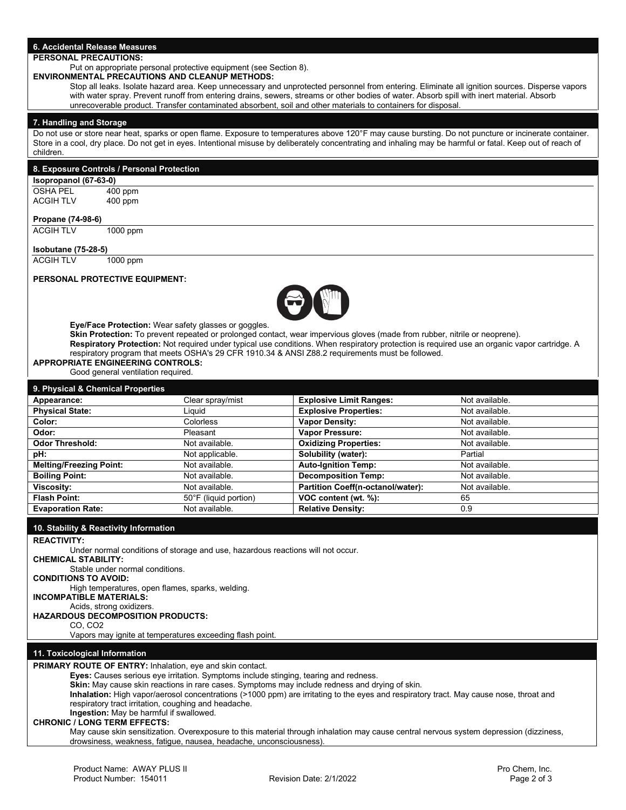# **6. Accidental Release Measures**

# **PERSONAL PRECAUTIONS:**

Put on appropriate personal protective equipment (see Section 8).

**ENVIRONMENTAL PRECAUTIONS AND CLEANUP METHODS:**

Stop all leaks. Isolate hazard area. Keep unnecessary and unprotected personnel from entering. Eliminate all ignition sources. Disperse vapors with water spray. Prevent runoff from entering drains, sewers, streams or other bodies of water. Absorb spill with inert material. Absorb unrecoverable product. Transfer contaminated absorbent, soil and other materials to containers for disposal.

#### **7. Handling and Storage**

Do not use or store near heat, sparks or open flame. Exposure to temperatures above 120°F may cause bursting. Do not puncture or incinerate container. Store in a cool, dry place. Do not get in eyes. Intentional misuse by deliberately concentrating and inhaling may be harmful or fatal. Keep out of reach of children.

| Isopropanol (67-63-0)                                                                                                           |                                                                                |                                   |                                                                                                                                                                                                                                                                                                                                                                                |                                  |
|---------------------------------------------------------------------------------------------------------------------------------|--------------------------------------------------------------------------------|-----------------------------------|--------------------------------------------------------------------------------------------------------------------------------------------------------------------------------------------------------------------------------------------------------------------------------------------------------------------------------------------------------------------------------|----------------------------------|
| OSHA PEL                                                                                                                        | 400 ppm                                                                        |                                   |                                                                                                                                                                                                                                                                                                                                                                                |                                  |
| <b>ACGIH TLV</b>                                                                                                                | 400 ppm                                                                        |                                   |                                                                                                                                                                                                                                                                                                                                                                                |                                  |
| Propane (74-98-6)                                                                                                               |                                                                                |                                   |                                                                                                                                                                                                                                                                                                                                                                                |                                  |
| <b>ACGIH TLV</b>                                                                                                                | 1000 ppm                                                                       |                                   |                                                                                                                                                                                                                                                                                                                                                                                |                                  |
| <b>Isobutane (75-28-5)</b>                                                                                                      |                                                                                |                                   |                                                                                                                                                                                                                                                                                                                                                                                |                                  |
| <b>ACGIH TLV</b>                                                                                                                | $1000$ ppm                                                                     |                                   |                                                                                                                                                                                                                                                                                                                                                                                |                                  |
|                                                                                                                                 | <b>PERSONAL PROTECTIVE EQUIPMENT:</b>                                          |                                   | $\blacktriangleright$                                                                                                                                                                                                                                                                                                                                                          |                                  |
|                                                                                                                                 |                                                                                |                                   |                                                                                                                                                                                                                                                                                                                                                                                |                                  |
|                                                                                                                                 | <b>APPROPRIATE ENGINEERING CONTROLS:</b><br>Good general ventilation required. |                                   | Skin Protection: To prevent repeated or prolonged contact, wear impervious gloves (made from rubber, nitrile or neoprene).<br>Respiratory Protection: Not required under typical use conditions. When respiratory protection is required use an organic vapor cartridge. A<br>respiratory program that meets OSHA's 29 CFR 1910.34 & ANSI Z88.2 requirements must be followed. |                                  |
|                                                                                                                                 | 9. Physical & Chemical Properties                                              |                                   |                                                                                                                                                                                                                                                                                                                                                                                |                                  |
|                                                                                                                                 |                                                                                | Clear spray/mist                  | <b>Explosive Limit Ranges:</b>                                                                                                                                                                                                                                                                                                                                                 | Not available.<br>Not available. |
|                                                                                                                                 |                                                                                | Liquid<br>Colorless               | <b>Explosive Properties:</b>                                                                                                                                                                                                                                                                                                                                                   | Not available.                   |
|                                                                                                                                 |                                                                                | Pleasant                          | <b>Vapor Density:</b>                                                                                                                                                                                                                                                                                                                                                          | Not available.                   |
| Appearance:<br><b>Physical State:</b><br>Color:<br>Odor:<br><b>Odor Threshold:</b>                                              |                                                                                | Not available.                    | Vapor Pressure:                                                                                                                                                                                                                                                                                                                                                                | Not available.                   |
|                                                                                                                                 |                                                                                |                                   | <b>Oxidizing Properties:</b>                                                                                                                                                                                                                                                                                                                                                   | Partial                          |
|                                                                                                                                 |                                                                                | Not applicable.<br>Not available. | Solubility (water):<br><b>Auto-Ignition Temp:</b>                                                                                                                                                                                                                                                                                                                              | Not available.                   |
|                                                                                                                                 |                                                                                | Not available.                    |                                                                                                                                                                                                                                                                                                                                                                                | Not available.                   |
|                                                                                                                                 |                                                                                | Not available.                    | <b>Decomposition Temp:</b><br>Partition Coeff(n-octanol/water):                                                                                                                                                                                                                                                                                                                | Not available.                   |
|                                                                                                                                 |                                                                                | 50°F (liquid portion)             | VOC content (wt. %):                                                                                                                                                                                                                                                                                                                                                           | 65                               |
| pH:<br><b>Melting/Freezing Point:</b><br><b>Boiling Point:</b><br>Viscosity:<br><b>Flash Point:</b><br><b>Evaporation Rate:</b> |                                                                                | Not available.                    | <b>Relative Density:</b>                                                                                                                                                                                                                                                                                                                                                       | $\overline{0.9}$                 |
|                                                                                                                                 |                                                                                |                                   |                                                                                                                                                                                                                                                                                                                                                                                |                                  |
| <b>REACTIVITY:</b>                                                                                                              | 10. Stability & Reactivity Information                                         |                                   |                                                                                                                                                                                                                                                                                                                                                                                |                                  |

**CONDITIONS TO AVOID:** 

High temperatures, open flames, sparks, welding.

**INCOMPATIBLE MATERIALS:**

#### Acids, strong oxidizers. **HAZARDOUS DECOMPOSITION PRODUCTS:**

CO, CO<sub>2</sub>

Vapors may ignite at temperatures exceeding flash point.

#### **11. Toxicological Information**

**PRIMARY ROUTE OF ENTRY:** Inhalation, eye and skin contact.

**Eyes:** Causes serious eye irritation. Symptoms include stinging, tearing and redness.

**Skin:** May cause skin reactions in rare cases. Symptoms may include redness and drying of skin.

**Inhalation:** High vapor/aerosol concentrations (>1000 ppm) are irritating to the eyes and respiratory tract. May cause nose, throat and respiratory tract irritation, coughing and headache.

**Ingestion:** May be harmful if swallowed.

#### **CHRONIC / LONG TERM EFFECTS:**

May cause skin sensitization. Overexposure to this material through inhalation may cause central nervous system depression (dizziness, drowsiness, weakness, fatigue, nausea, headache, unconsciousness).